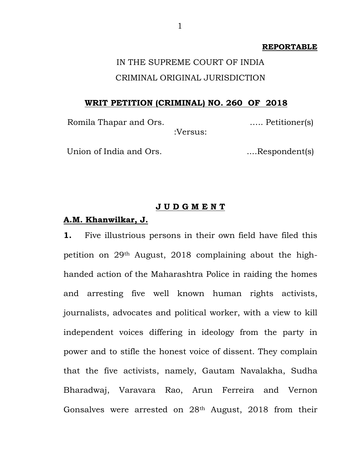#### **REPORTABLE**

# IN THE SUPREME COURT OF INDIA CRIMINAL ORIGINAL JURISDICTION

## **WRIT PETITION (CRIMINAL) NO. 260 OF 2018**

Romila Thapar and Ors. <br>
Example 1.... Petitioner(s) :Versus:

Union of India and Ors. ....Respondent(s)

## **J U D G M E N T**

## **A.M. Khanwilkar, J.**

**1.** Five illustrious persons in their own field have filed this petition on 29th August, 2018 complaining about the highhanded action of the Maharashtra Police in raiding the homes and arresting five well known human rights activists, journalists, advocates and political worker, with a view to kill independent voices differing in ideology from the party in power and to stifle the honest voice of dissent. They complain that the five activists, namely, Gautam Navalakha, Sudha Bharadwaj, Varavara Rao, Arun Ferreira and Vernon Gonsalves were arrested on 28th August, 2018 from their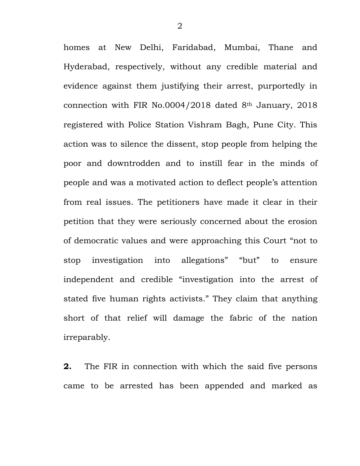homes at New Delhi, Faridabad, Mumbai, Thane and Hyderabad, respectively, without any credible material and evidence against them justifying their arrest, purportedly in connection with FIR No.0004/2018 dated 8th January, 2018 registered with Police Station Vishram Bagh, Pune City. This action was to silence the dissent, stop people from helping the poor and downtrodden and to instill fear in the minds of people and was a motivated action to deflect people"s attention from real issues. The petitioners have made it clear in their petition that they were seriously concerned about the erosion of democratic values and were approaching this Court "not to stop investigation into allegations" "but" to ensure independent and credible "investigation into the arrest of stated five human rights activists." They claim that anything short of that relief will damage the fabric of the nation irreparably.

**2.** The FIR in connection with which the said five persons came to be arrested has been appended and marked as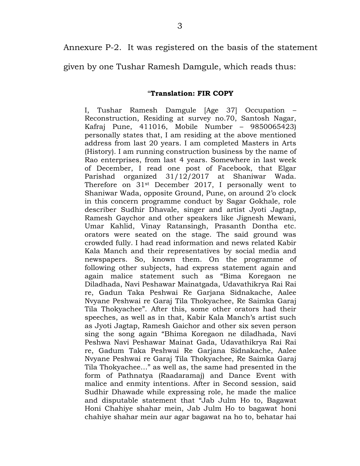Annexure P-2. It was registered on the basis of the statement

given by one Tushar Ramesh Damgule, which reads thus:

## "**Translation: FIR COPY**

I, Tushar Ramesh Damgule [Age 37] Occupation – Reconstruction, Residing at survey no.70, Santosh Nagar, Kafraj Pune, 411016, Mobile Number – 9850065423) personally states that, I am residing at the above mentioned address from last 20 years. I am completed Masters in Arts (History). I am running construction business by the name of Rao enterprises, from last 4 years. Somewhere in last week of December, I read one post of Facebook, that Elgar Parishad organized 31/12/2017 at Shaniwar Wada. Therefore on 31st December 2017, I personally went to Shaniwar Wada, opposite Ground, Pune, on around 2"o clock in this concern programme conduct by Sagar Gokhale, role describer Sudhir Dhavale, singer and artist Jyoti Jagtap, Ramesh Gaychor and other speakers like Jignesh Mewani, Umar Kahlid, Vinay Ratansingh, Prasanth Dontha etc. orators were seated on the stage. The said ground was crowded fully. I had read information and news related Kabir Kala Manch and their representatives by social media and newspapers. So, known them. On the programme of following other subjects, had express statement again and again malice statement such as "Bima Koregaon ne Diladhada, Navi Peshawar Mainatgada, Udavathikrya Rai Rai re, Gadun Taka Peshwai Re Garjana Sidnakache, Aalee Nvyane Peshwai re Garaj Tila Thokyachee, Re Saimka Garaj Tila Thokyachee". After this, some other orators had their speeches, as well as in that, Kabir Kala Manch's artist such as Jyoti Jagtap, Ramesh Gaichor and other six seven person sing the song again "Bhima Koregaon ne diladhada, Navi Peshwa Navi Peshawar Mainat Gada, Udavathikrya Rai Rai re, Gadum Taka Peshwai Re Garjana Sidnakache, Aalee Nvyane Peshwai re Garaj Tila Thokyachee, Re Saimka Garaj Tila Thokyachee…" as well as, the same had presented in the form of Pathnatya (Raadaramaj) and Dance Event with malice and enmity intentions. After in Second session, said Sudhir Dhawade while expressing role, he made the malice and disputable statement that "Jab Julm Ho to, Bagawat Honi Chahiye shahar mein, Jab Julm Ho to bagawat honi chahiye shahar mein aur agar bagawat na ho to, behatar hai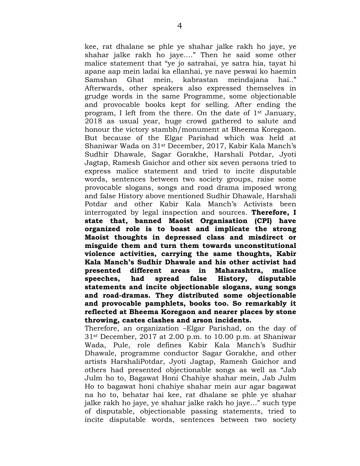kee, rat dhalane se phle ye shahar jalke rakh ho jaye, ye shahar jalke rakh ho jaye…." Then he said some other malice statement that "ye jo satrahai, ye satra hia, tayat hi apane aap mein ladai ka ellanhai, ye nave peswai ko haemin Samshan Ghat mein, kabrastan meindajana hai.." Afterwards, other speakers also expressed themselves in grudge words in the same Programme, some objectionable and provocable books kept for selling. After ending the program, I left from the there. On the date of 1st January, 2018 as usual year, huge crowd gathered to salute and honour the victory stambh/monument at Bheema Koregaon. But because of the Elgar Parishad which was held at Shaniwar Wada on 31st December, 2017, Kabir Kala Manch"s Sudhir Dhawale, Sagar Gorakhe, Harshali Potdar, Jyoti Jagtap, Ramesh Gaichor and other six seven persons tried to express malice statement and tried to incite disputable words, sentences between two society groups, raise some provocable slogans, songs and road drama imposed wrong and false History above mentioned Sudhir Dhawale, Harshali Potdar and other Kabir Kala Manch"s Activists been interrogated by legal inspection and sources. **Therefore, I state that, banned Maoist Organisation (CPI) have organized role is to boast and implicate the strong Maoist thoughts in depressed class and misdirect or misguide them and turn them towards unconstitutional violence activities, carrying the same thoughts, Kabir Kala Manch's Sudhir Dhawale and his other activist had presented different areas in Maharashtra, malice speeches, had spread false History, disputable statements and incite objectionable slogans, sung songs and road-dramas. They distributed some objectionable and provocable pamphlets, books too. So remarkably it reflected at Bheema Koregaon and nearer places by stone throwing, castes clashes and arson incidents.** 

Therefore, an organization –Elgar Parishad, on the day of 31st December, 2017 at 2.00 p.m. to 10.00 p.m. at Shaniwar Wada, Pule, role defines Kabir Kala Manch"s Sudhir Dhawale, programme conductor Sagar Gorakhe, and other artists HarshaliPotdar, Jyoti Jagtap, Ramesh Gaichor and others had presented objectionable songs as well as "Jab Julm ho to, Bagawat Honi Chahiye shahar mein, Jab Julm Ho to bagawat honi chahiye shahar mein aur agar bagawat na ho to, behatar hai kee, rat dhalane se phle ye shahar jalke rakh ho jaye, ye shahar jalke rakh ho jaye…" such type of disputable, objectionable passing statements, tried to incite disputable words, sentences between two society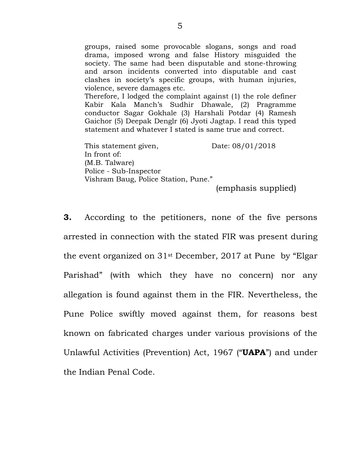groups, raised some provocable slogans, songs and road drama, imposed wrong and false History misguided the society. The same had been disputable and stone-throwing and arson incidents converted into disputable and cast clashes in society"s specific groups, with human injuries, violence, severe damages etc. Therefore, I lodged the complaint against (1) the role definer Kabir Kala Manch"s Sudhir Dhawale, (2) Pragramme conductor Sagar Gokhale (3) Harshali Potdar (4) Ramesh Gaichor (5) Deepak Denglr (6) Jyoti Jagtap. I read this typed

This statement given, Date: 08/01/2018 In front of: (M.B. Talware) Police - Sub-Inspector Vishram Baug, Police Station, Pune."

statement and whatever I stated is same true and correct.

(emphasis supplied)

**3.** According to the petitioners, none of the five persons arrested in connection with the stated FIR was present during the event organized on 31st December, 2017 at Pune by "Elgar Parishad" (with which they have no concern) nor any allegation is found against them in the FIR. Nevertheless, the Pune Police swiftly moved against them, for reasons best known on fabricated charges under various provisions of the Unlawful Activities (Prevention) Act, 1967 ("**UAPA**") and under the Indian Penal Code.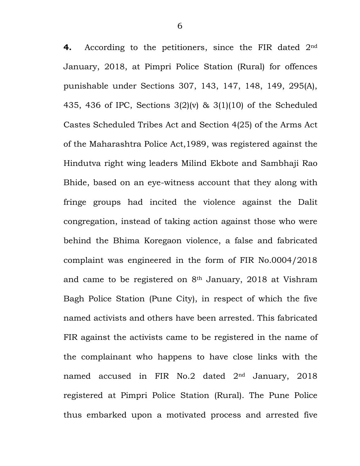**4.** According to the petitioners, since the FIR dated 2nd January, 2018, at Pimpri Police Station (Rural) for offences punishable under Sections 307, 143, 147, 148, 149, 295(A), 435, 436 of IPC, Sections 3(2)(v) & 3(1)(10) of the Scheduled Castes Scheduled Tribes Act and Section 4(25) of the Arms Act of the Maharashtra Police Act,1989, was registered against the Hindutva right wing leaders Milind Ekbote and Sambhaji Rao Bhide, based on an eye-witness account that they along with fringe groups had incited the violence against the Dalit congregation, instead of taking action against those who were behind the Bhima Koregaon violence, a false and fabricated complaint was engineered in the form of FIR No.0004/2018 and came to be registered on 8th January, 2018 at Vishram Bagh Police Station (Pune City), in respect of which the five named activists and others have been arrested. This fabricated FIR against the activists came to be registered in the name of the complainant who happens to have close links with the named accused in FIR No.2 dated 2nd January, 2018 registered at Pimpri Police Station (Rural). The Pune Police thus embarked upon a motivated process and arrested five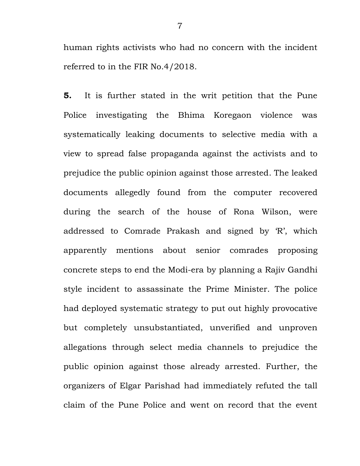human rights activists who had no concern with the incident referred to in the FIR No.4/2018.

**5.** It is further stated in the writ petition that the Pune Police investigating the Bhima Koregaon violence was systematically leaking documents to selective media with a view to spread false propaganda against the activists and to prejudice the public opinion against those arrested. The leaked documents allegedly found from the computer recovered during the search of the house of Rona Wilson, were addressed to Comrade Prakash and signed by "R", which apparently mentions about senior comrades proposing concrete steps to end the Modi-era by planning a Rajiv Gandhi style incident to assassinate the Prime Minister. The police had deployed systematic strategy to put out highly provocative but completely unsubstantiated, unverified and unproven allegations through select media channels to prejudice the public opinion against those already arrested. Further, the organizers of Elgar Parishad had immediately refuted the tall claim of the Pune Police and went on record that the event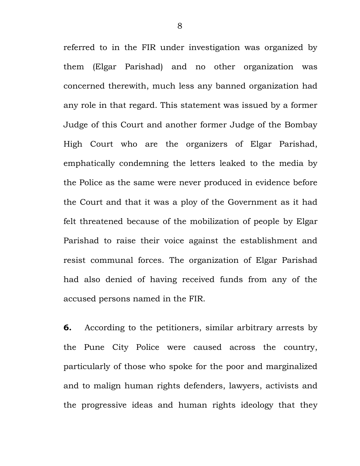referred to in the FIR under investigation was organized by them (Elgar Parishad) and no other organization was concerned therewith, much less any banned organization had any role in that regard. This statement was issued by a former Judge of this Court and another former Judge of the Bombay High Court who are the organizers of Elgar Parishad, emphatically condemning the letters leaked to the media by the Police as the same were never produced in evidence before the Court and that it was a ploy of the Government as it had felt threatened because of the mobilization of people by Elgar Parishad to raise their voice against the establishment and resist communal forces. The organization of Elgar Parishad had also denied of having received funds from any of the accused persons named in the FIR.

**6.** According to the petitioners, similar arbitrary arrests by the Pune City Police were caused across the country, particularly of those who spoke for the poor and marginalized and to malign human rights defenders, lawyers, activists and the progressive ideas and human rights ideology that they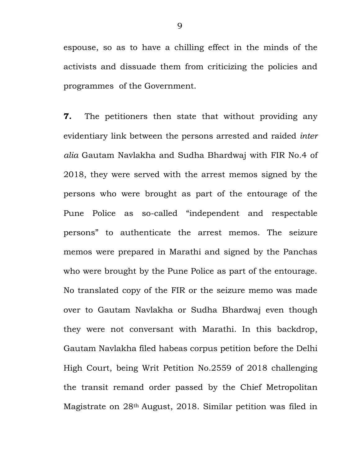espouse, so as to have a chilling effect in the minds of the activists and dissuade them from criticizing the policies and programmes of the Government.

**7.** The petitioners then state that without providing any evidentiary link between the persons arrested and raided *inter alia* Gautam Navlakha and Sudha Bhardwaj with FIR No.4 of 2018, they were served with the arrest memos signed by the persons who were brought as part of the entourage of the Pune Police as so-called "independent and respectable persons" to authenticate the arrest memos. The seizure memos were prepared in Marathi and signed by the Panchas who were brought by the Pune Police as part of the entourage. No translated copy of the FIR or the seizure memo was made over to Gautam Navlakha or Sudha Bhardwaj even though they were not conversant with Marathi. In this backdrop, Gautam Navlakha filed habeas corpus petition before the Delhi High Court, being Writ Petition No.2559 of 2018 challenging the transit remand order passed by the Chief Metropolitan Magistrate on 28th August, 2018. Similar petition was filed in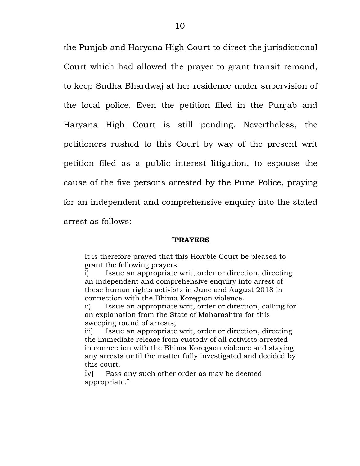the Punjab and Haryana High Court to direct the jurisdictional Court which had allowed the prayer to grant transit remand, to keep Sudha Bhardwaj at her residence under supervision of the local police. Even the petition filed in the Punjab and Haryana High Court is still pending. Nevertheless, the petitioners rushed to this Court by way of the present writ petition filed as a public interest litigation, to espouse the cause of the five persons arrested by the Pune Police, praying for an independent and comprehensive enquiry into the stated arrest as follows:

#### "**PRAYERS**

It is therefore prayed that this Hon"ble Court be pleased to grant the following prayers:

i) Issue an appropriate writ, order or direction, directing an independent and comprehensive enquiry into arrest of these human rights activists in June and August 2018 in connection with the Bhima Koregaon violence.

ii) Issue an appropriate writ, order or direction, calling for an explanation from the State of Maharashtra for this sweeping round of arrests;

iii) Issue an appropriate writ, order or direction, directing the immediate release from custody of all activists arrested in connection with the Bhima Koregaon violence and staying any arrests until the matter fully investigated and decided by this court.

iv) Pass any such other order as may be deemed appropriate."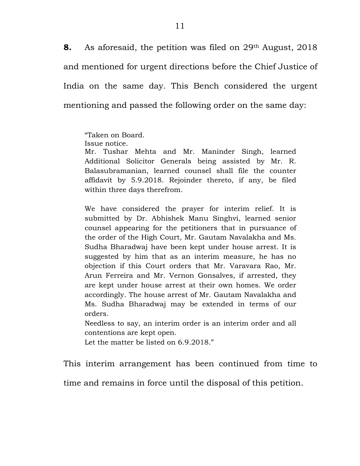**8.** As aforesaid, the petition was filed on 29<sup>th</sup> August, 2018 and mentioned for urgent directions before the Chief Justice of India on the same day. This Bench considered the urgent mentioning and passed the following order on the same day:

"Taken on Board.

Issue notice.

Mr. Tushar Mehta and Mr. Maninder Singh, learned Additional Solicitor Generals being assisted by Mr. R. Balasubramanian, learned counsel shall file the counter affidavit by 5.9.2018. Rejoinder thereto, if any, be filed within three days therefrom.

We have considered the prayer for interim relief. It is submitted by Dr. Abhishek Manu Singhvi, learned senior counsel appearing for the petitioners that in pursuance of the order of the High Court, Mr. Gautam Navalakha and Ms. Sudha Bharadwaj have been kept under house arrest. It is suggested by him that as an interim measure, he has no objection if this Court orders that Mr. Varavara Rao, Mr. Arun Ferreira and Mr. Vernon Gonsalves, if arrested, they are kept under house arrest at their own homes. We order accordingly. The house arrest of Mr. Gautam Navalakha and Ms. Sudha Bharadwaj may be extended in terms of our orders.

Needless to say, an interim order is an interim order and all contentions are kept open.

Let the matter be listed on 6.9.2018."

This interim arrangement has been continued from time to

time and remains in force until the disposal of this petition.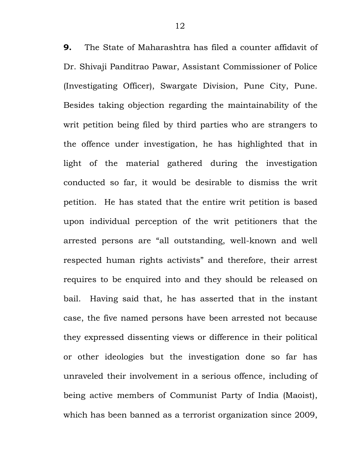**9.** The State of Maharashtra has filed a counter affidavit of Dr. Shivaji Panditrao Pawar, Assistant Commissioner of Police (Investigating Officer), Swargate Division, Pune City, Pune. Besides taking objection regarding the maintainability of the writ petition being filed by third parties who are strangers to the offence under investigation, he has highlighted that in light of the material gathered during the investigation conducted so far, it would be desirable to dismiss the writ petition. He has stated that the entire writ petition is based upon individual perception of the writ petitioners that the arrested persons are "all outstanding, well-known and well respected human rights activists" and therefore, their arrest requires to be enquired into and they should be released on bail. Having said that, he has asserted that in the instant case, the five named persons have been arrested not because they expressed dissenting views or difference in their political or other ideologies but the investigation done so far has unraveled their involvement in a serious offence, including of being active members of Communist Party of India (Maoist), which has been banned as a terrorist organization since 2009,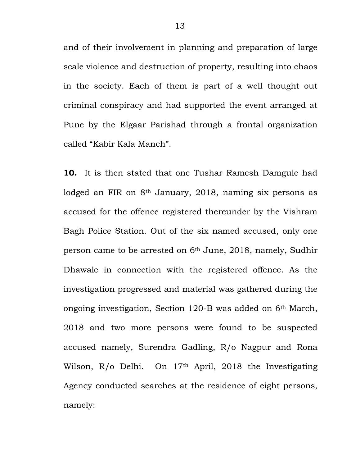and of their involvement in planning and preparation of large scale violence and destruction of property, resulting into chaos in the society. Each of them is part of a well thought out criminal conspiracy and had supported the event arranged at Pune by the Elgaar Parishad through a frontal organization called "Kabir Kala Manch".

**10.** It is then stated that one Tushar Ramesh Damgule had lodged an FIR on 8<sup>th</sup> January, 2018, naming six persons as accused for the offence registered thereunder by the Vishram Bagh Police Station. Out of the six named accused, only one person came to be arrested on 6th June, 2018, namely, Sudhir Dhawale in connection with the registered offence. As the investigation progressed and material was gathered during the ongoing investigation, Section 120-B was added on 6th March, 2018 and two more persons were found to be suspected accused namely, Surendra Gadling, R/o Nagpur and Rona Wilson, R/o Delhi. On 17<sup>th</sup> April, 2018 the Investigating Agency conducted searches at the residence of eight persons, namely: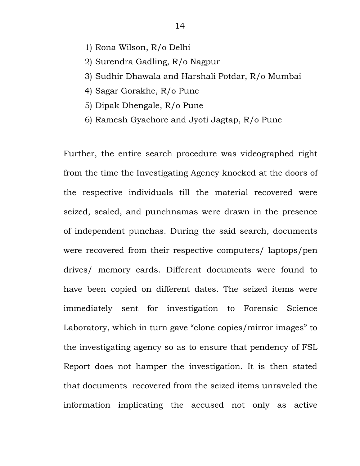- 1) Rona Wilson, R/o Delhi
- 2) Surendra Gadling, R/o Nagpur
- 3) Sudhir Dhawala and Harshali Potdar, R/o Mumbai
- 4) Sagar Gorakhe, R/o Pune
- 5) Dipak Dhengale, R/o Pune
- 6) Ramesh Gyachore and Jyoti Jagtap, R/o Pune

Further, the entire search procedure was videographed right from the time the Investigating Agency knocked at the doors of the respective individuals till the material recovered were seized, sealed, and punchnamas were drawn in the presence of independent punchas. During the said search, documents were recovered from their respective computers/ laptops/pen drives/ memory cards. Different documents were found to have been copied on different dates. The seized items were immediately sent for investigation to Forensic Science Laboratory, which in turn gave "clone copies/mirror images" to the investigating agency so as to ensure that pendency of FSL Report does not hamper the investigation. It is then stated that documents recovered from the seized items unraveled the information implicating the accused not only as active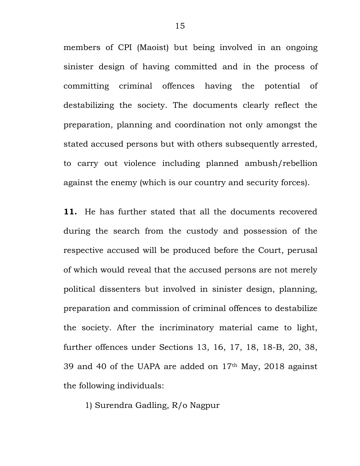members of CPI (Maoist) but being involved in an ongoing sinister design of having committed and in the process of committing criminal offences having the potential of destabilizing the society. The documents clearly reflect the preparation, planning and coordination not only amongst the stated accused persons but with others subsequently arrested, to carry out violence including planned ambush/rebellion against the enemy (which is our country and security forces).

**11.** He has further stated that all the documents recovered during the search from the custody and possession of the respective accused will be produced before the Court, perusal of which would reveal that the accused persons are not merely political dissenters but involved in sinister design, planning, preparation and commission of criminal offences to destabilize the society. After the incriminatory material came to light, further offences under Sections 13, 16, 17, 18, 18-B, 20, 38, 39 and 40 of the UAPA are added on 17th May, 2018 against the following individuals:

1) Surendra Gadling, R/o Nagpur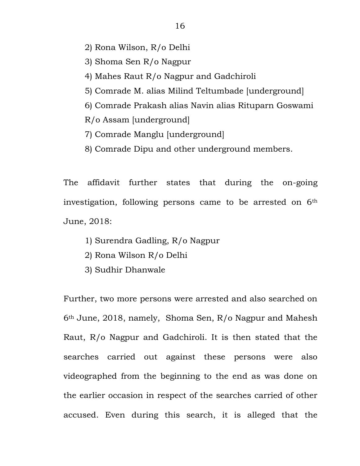- 2) Rona Wilson, R/o Delhi
- 3) Shoma Sen R/o Nagpur
- 4) Mahes Raut R/o Nagpur and Gadchiroli
- 5) Comrade M. alias Milind Teltumbade [underground]
- 6) Comrade Prakash alias Navin alias Rituparn Goswami
- R/o Assam [underground]
- 7) Comrade Manglu [underground]
- 8) Comrade Dipu and other underground members.

The affidavit further states that during the on-going investigation, following persons came to be arrested on  $6<sup>th</sup>$ June, 2018:

- 1) Surendra Gadling, R/o Nagpur
- 2) Rona Wilson R/o Delhi
- 3) Sudhir Dhanwale

Further, two more persons were arrested and also searched on 6th June, 2018, namely, Shoma Sen, R/o Nagpur and Mahesh Raut, R/o Nagpur and Gadchiroli. It is then stated that the searches carried out against these persons were also videographed from the beginning to the end as was done on the earlier occasion in respect of the searches carried of other accused. Even during this search, it is alleged that the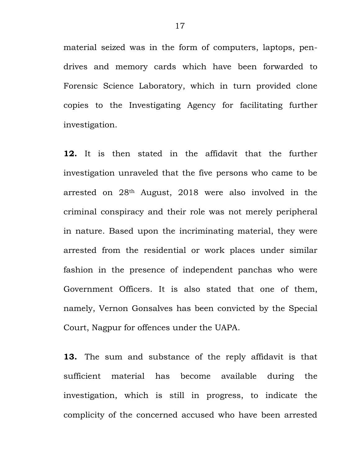material seized was in the form of computers, laptops, pendrives and memory cards which have been forwarded to Forensic Science Laboratory, which in turn provided clone copies to the Investigating Agency for facilitating further investigation.

**12.** It is then stated in the affidavit that the further investigation unraveled that the five persons who came to be arrested on 28th August, 2018 were also involved in the criminal conspiracy and their role was not merely peripheral in nature. Based upon the incriminating material, they were arrested from the residential or work places under similar fashion in the presence of independent panchas who were Government Officers. It is also stated that one of them, namely, Vernon Gonsalves has been convicted by the Special Court, Nagpur for offences under the UAPA.

**13.** The sum and substance of the reply affidavit is that sufficient material has become available during the investigation, which is still in progress, to indicate the complicity of the concerned accused who have been arrested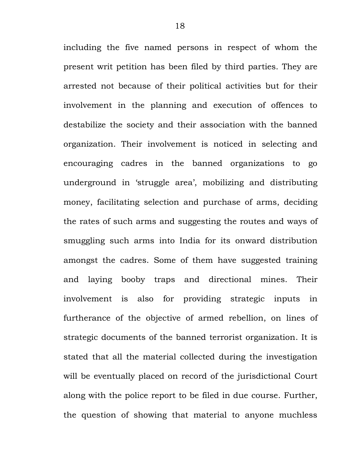including the five named persons in respect of whom the present writ petition has been filed by third parties. They are arrested not because of their political activities but for their involvement in the planning and execution of offences to destabilize the society and their association with the banned organization. Their involvement is noticed in selecting and encouraging cadres in the banned organizations to go underground in 'struggle area', mobilizing and distributing money, facilitating selection and purchase of arms, deciding the rates of such arms and suggesting the routes and ways of smuggling such arms into India for its onward distribution amongst the cadres. Some of them have suggested training and laying booby traps and directional mines. Their involvement is also for providing strategic inputs in furtherance of the objective of armed rebellion, on lines of strategic documents of the banned terrorist organization. It is stated that all the material collected during the investigation will be eventually placed on record of the jurisdictional Court along with the police report to be filed in due course. Further, the question of showing that material to anyone muchless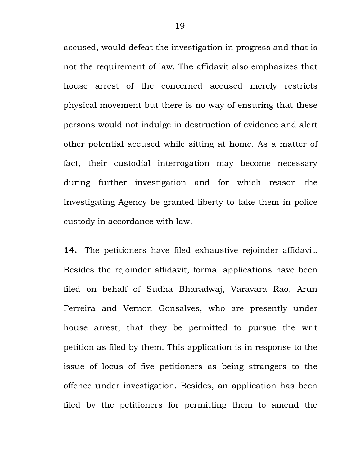accused, would defeat the investigation in progress and that is not the requirement of law. The affidavit also emphasizes that house arrest of the concerned accused merely restricts physical movement but there is no way of ensuring that these persons would not indulge in destruction of evidence and alert other potential accused while sitting at home. As a matter of fact, their custodial interrogation may become necessary during further investigation and for which reason the Investigating Agency be granted liberty to take them in police custody in accordance with law.

**14.** The petitioners have filed exhaustive rejoinder affidavit. Besides the rejoinder affidavit, formal applications have been filed on behalf of Sudha Bharadwaj, Varavara Rao, Arun Ferreira and Vernon Gonsalves, who are presently under house arrest, that they be permitted to pursue the writ petition as filed by them. This application is in response to the issue of locus of five petitioners as being strangers to the offence under investigation. Besides, an application has been filed by the petitioners for permitting them to amend the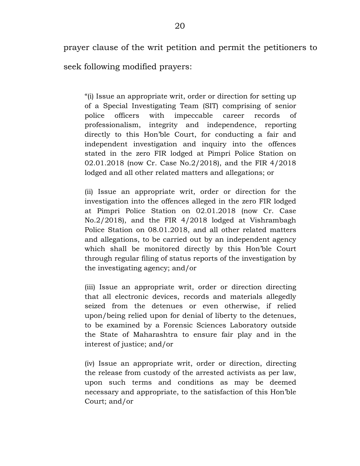prayer clause of the writ petition and permit the petitioners to

seek following modified prayers:

"(i) Issue an appropriate writ, order or direction for setting up of a Special Investigating Team (SIT) comprising of senior police officers with impeccable career records of professionalism, integrity and independence, reporting directly to this Hon"ble Court, for conducting a fair and independent investigation and inquiry into the offences stated in the zero FIR lodged at Pimpri Police Station on 02.01.2018 (now Cr. Case No.2/2018), and the FIR 4/2018 lodged and all other related matters and allegations; or

(ii) Issue an appropriate writ, order or direction for the investigation into the offences alleged in the zero FIR lodged at Pimpri Police Station on 02.01.2018 (now Cr. Case No.2/2018), and the FIR 4/2018 lodged at Vishrambagh Police Station on 08.01.2018, and all other related matters and allegations, to be carried out by an independent agency which shall be monitored directly by this Hon"ble Court through regular filing of status reports of the investigation by the investigating agency; and/or

(iii) Issue an appropriate writ, order or direction directing that all electronic devices, records and materials allegedly seized from the detenues or even otherwise, if relied upon/being relied upon for denial of liberty to the detenues, to be examined by a Forensic Sciences Laboratory outside the State of Maharashtra to ensure fair play and in the interest of justice; and/or

(iv) Issue an appropriate writ, order or direction, directing the release from custody of the arrested activists as per law, upon such terms and conditions as may be deemed necessary and appropriate, to the satisfaction of this Hon"ble Court; and/or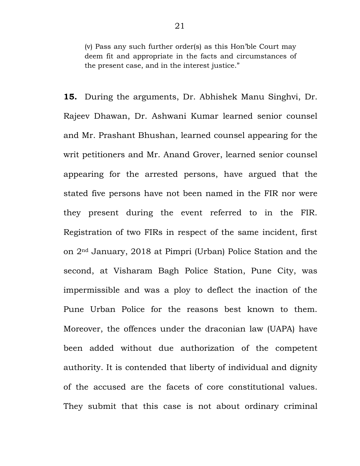(v) Pass any such further order(s) as this Hon"ble Court may deem fit and appropriate in the facts and circumstances of the present case, and in the interest justice."

**15.** During the arguments, Dr. Abhishek Manu Singhvi, Dr. Rajeev Dhawan, Dr. Ashwani Kumar learned senior counsel and Mr. Prashant Bhushan, learned counsel appearing for the writ petitioners and Mr. Anand Grover, learned senior counsel appearing for the arrested persons, have argued that the stated five persons have not been named in the FIR nor were they present during the event referred to in the FIR. Registration of two FIRs in respect of the same incident, first on 2nd January, 2018 at Pimpri (Urban) Police Station and the second, at Visharam Bagh Police Station, Pune City, was impermissible and was a ploy to deflect the inaction of the Pune Urban Police for the reasons best known to them. Moreover, the offences under the draconian law (UAPA) have been added without due authorization of the competent authority. It is contended that liberty of individual and dignity of the accused are the facets of core constitutional values. They submit that this case is not about ordinary criminal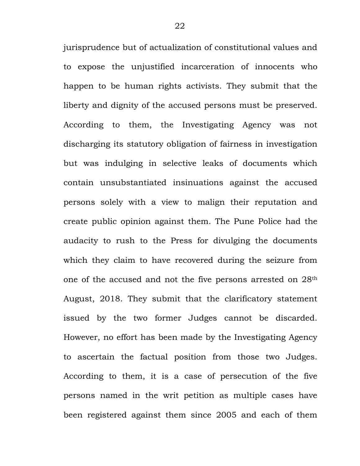jurisprudence but of actualization of constitutional values and to expose the unjustified incarceration of innocents who happen to be human rights activists. They submit that the liberty and dignity of the accused persons must be preserved. According to them, the Investigating Agency was not discharging its statutory obligation of fairness in investigation but was indulging in selective leaks of documents which contain unsubstantiated insinuations against the accused persons solely with a view to malign their reputation and create public opinion against them. The Pune Police had the audacity to rush to the Press for divulging the documents which they claim to have recovered during the seizure from one of the accused and not the five persons arrested on 28th August, 2018. They submit that the clarificatory statement issued by the two former Judges cannot be discarded. However, no effort has been made by the Investigating Agency to ascertain the factual position from those two Judges. According to them, it is a case of persecution of the five persons named in the writ petition as multiple cases have been registered against them since 2005 and each of them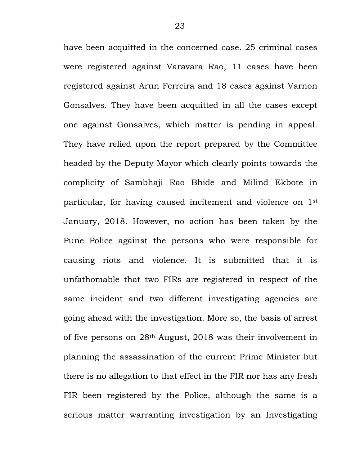have been acquitted in the concerned case. 25 criminal cases were registered against Varavara Rao, 11 cases have been registered against Arun Ferreira and 18 cases against Varnon Gonsalves. They have been acquitted in all the cases except one against Gonsalves, which matter is pending in appeal. They have relied upon the report prepared by the Committee headed by the Deputy Mayor which clearly points towards the complicity of Sambhaji Rao Bhide and Milind Ekbote in particular, for having caused incitement and violence on 1st January, 2018. However, no action has been taken by the Pune Police against the persons who were responsible for causing riots and violence. It is submitted that it is unfathomable that two FIRs are registered in respect of the same incident and two different investigating agencies are going ahead with the investigation. More so, the basis of arrest of five persons on 28th August, 2018 was their involvement in planning the assassination of the current Prime Minister but there is no allegation to that effect in the FIR nor has any fresh FIR been registered by the Police, although the same is a serious matter warranting investigation by an Investigating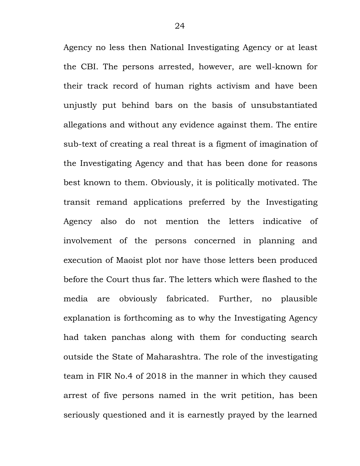Agency no less then National Investigating Agency or at least the CBI. The persons arrested, however, are well-known for their track record of human rights activism and have been unjustly put behind bars on the basis of unsubstantiated allegations and without any evidence against them. The entire sub-text of creating a real threat is a figment of imagination of the Investigating Agency and that has been done for reasons best known to them. Obviously, it is politically motivated. The transit remand applications preferred by the Investigating Agency also do not mention the letters indicative of involvement of the persons concerned in planning and execution of Maoist plot nor have those letters been produced before the Court thus far. The letters which were flashed to the media are obviously fabricated. Further, no plausible explanation is forthcoming as to why the Investigating Agency had taken panchas along with them for conducting search outside the State of Maharashtra. The role of the investigating team in FIR No.4 of 2018 in the manner in which they caused arrest of five persons named in the writ petition, has been seriously questioned and it is earnestly prayed by the learned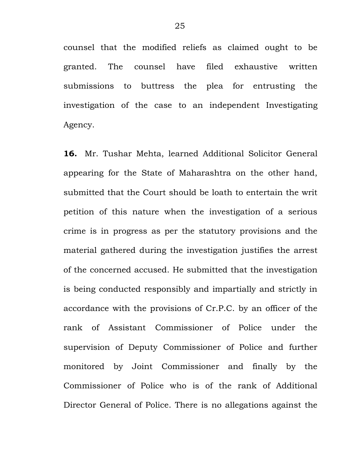counsel that the modified reliefs as claimed ought to be granted. The counsel have filed exhaustive written submissions to buttress the plea for entrusting the investigation of the case to an independent Investigating Agency.

**16.** Mr. Tushar Mehta, learned Additional Solicitor General appearing for the State of Maharashtra on the other hand, submitted that the Court should be loath to entertain the writ petition of this nature when the investigation of a serious crime is in progress as per the statutory provisions and the material gathered during the investigation justifies the arrest of the concerned accused. He submitted that the investigation is being conducted responsibly and impartially and strictly in accordance with the provisions of Cr.P.C. by an officer of the rank of Assistant Commissioner of Police under the supervision of Deputy Commissioner of Police and further monitored by Joint Commissioner and finally by the Commissioner of Police who is of the rank of Additional Director General of Police. There is no allegations against the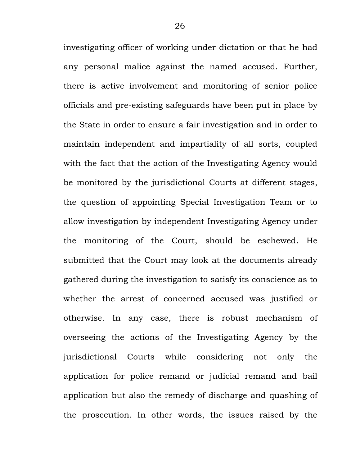investigating officer of working under dictation or that he had any personal malice against the named accused. Further, there is active involvement and monitoring of senior police officials and pre-existing safeguards have been put in place by the State in order to ensure a fair investigation and in order to maintain independent and impartiality of all sorts, coupled with the fact that the action of the Investigating Agency would be monitored by the jurisdictional Courts at different stages, the question of appointing Special Investigation Team or to allow investigation by independent Investigating Agency under the monitoring of the Court, should be eschewed. He submitted that the Court may look at the documents already gathered during the investigation to satisfy its conscience as to whether the arrest of concerned accused was justified or otherwise. In any case, there is robust mechanism of overseeing the actions of the Investigating Agency by the jurisdictional Courts while considering not only the application for police remand or judicial remand and bail application but also the remedy of discharge and quashing of the prosecution. In other words, the issues raised by the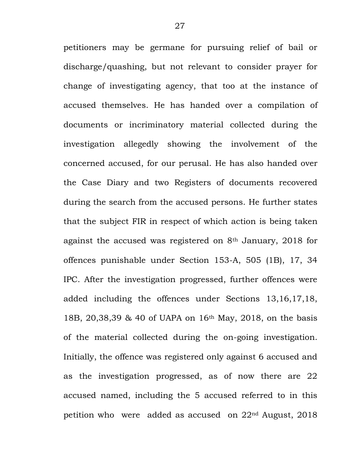petitioners may be germane for pursuing relief of bail or discharge/quashing, but not relevant to consider prayer for change of investigating agency, that too at the instance of accused themselves. He has handed over a compilation of documents or incriminatory material collected during the investigation allegedly showing the involvement of the concerned accused, for our perusal. He has also handed over the Case Diary and two Registers of documents recovered during the search from the accused persons. He further states that the subject FIR in respect of which action is being taken against the accused was registered on 8th January, 2018 for offences punishable under Section 153-A, 505 (1B), 17, 34 IPC. After the investigation progressed, further offences were added including the offences under Sections 13,16,17,18, 18B, 20,38,39 & 40 of UAPA on 16th May, 2018, on the basis of the material collected during the on-going investigation. Initially, the offence was registered only against 6 accused and as the investigation progressed, as of now there are 22 accused named, including the 5 accused referred to in this petition who were added as accused on 22nd August, 2018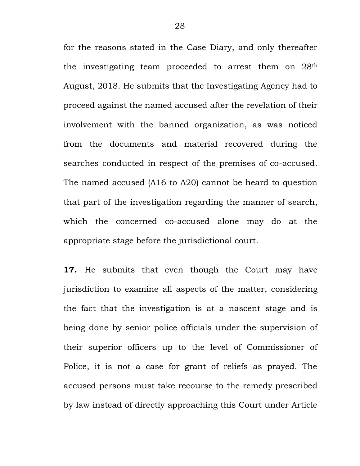for the reasons stated in the Case Diary, and only thereafter the investigating team proceeded to arrest them on 28th August, 2018. He submits that the Investigating Agency had to proceed against the named accused after the revelation of their involvement with the banned organization, as was noticed from the documents and material recovered during the searches conducted in respect of the premises of co-accused. The named accused (A16 to A20) cannot be heard to question that part of the investigation regarding the manner of search, which the concerned co-accused alone may do at the appropriate stage before the jurisdictional court.

**17.** He submits that even though the Court may have jurisdiction to examine all aspects of the matter, considering the fact that the investigation is at a nascent stage and is being done by senior police officials under the supervision of their superior officers up to the level of Commissioner of Police, it is not a case for grant of reliefs as prayed. The accused persons must take recourse to the remedy prescribed by law instead of directly approaching this Court under Article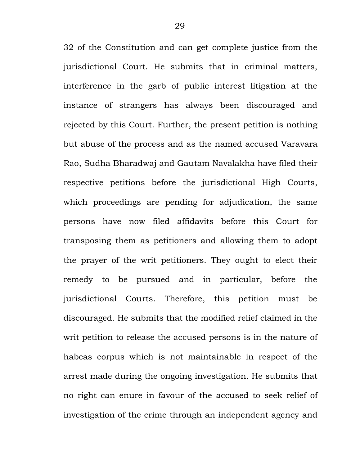32 of the Constitution and can get complete justice from the jurisdictional Court. He submits that in criminal matters, interference in the garb of public interest litigation at the instance of strangers has always been discouraged and rejected by this Court. Further, the present petition is nothing but abuse of the process and as the named accused Varavara Rao, Sudha Bharadwaj and Gautam Navalakha have filed their respective petitions before the jurisdictional High Courts, which proceedings are pending for adjudication, the same persons have now filed affidavits before this Court for transposing them as petitioners and allowing them to adopt the prayer of the writ petitioners. They ought to elect their remedy to be pursued and in particular, before the jurisdictional Courts. Therefore, this petition must be discouraged. He submits that the modified relief claimed in the writ petition to release the accused persons is in the nature of habeas corpus which is not maintainable in respect of the arrest made during the ongoing investigation. He submits that no right can enure in favour of the accused to seek relief of investigation of the crime through an independent agency and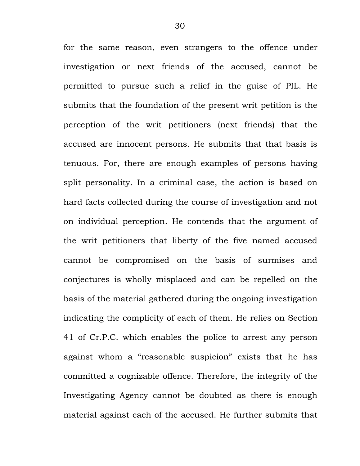for the same reason, even strangers to the offence under investigation or next friends of the accused, cannot be permitted to pursue such a relief in the guise of PIL. He submits that the foundation of the present writ petition is the perception of the writ petitioners (next friends) that the accused are innocent persons. He submits that that basis is tenuous. For, there are enough examples of persons having split personality. In a criminal case, the action is based on hard facts collected during the course of investigation and not on individual perception. He contends that the argument of the writ petitioners that liberty of the five named accused cannot be compromised on the basis of surmises and conjectures is wholly misplaced and can be repelled on the basis of the material gathered during the ongoing investigation indicating the complicity of each of them. He relies on Section 41 of Cr.P.C. which enables the police to arrest any person against whom a "reasonable suspicion" exists that he has committed a cognizable offence. Therefore, the integrity of the Investigating Agency cannot be doubted as there is enough material against each of the accused. He further submits that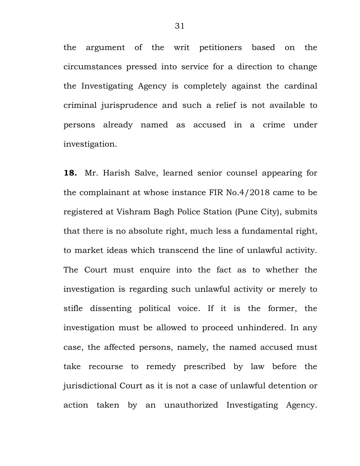the argument of the writ petitioners based on the circumstances pressed into service for a direction to change the Investigating Agency is completely against the cardinal criminal jurisprudence and such a relief is not available to persons already named as accused in a crime under investigation.

**18.** Mr. Harish Salve, learned senior counsel appearing for the complainant at whose instance FIR No.4/2018 came to be registered at Vishram Bagh Police Station (Pune City), submits that there is no absolute right, much less a fundamental right, to market ideas which transcend the line of unlawful activity. The Court must enquire into the fact as to whether the investigation is regarding such unlawful activity or merely to stifle dissenting political voice. If it is the former, the investigation must be allowed to proceed unhindered. In any case, the affected persons, namely, the named accused must take recourse to remedy prescribed by law before the jurisdictional Court as it is not a case of unlawful detention or action taken by an unauthorized Investigating Agency.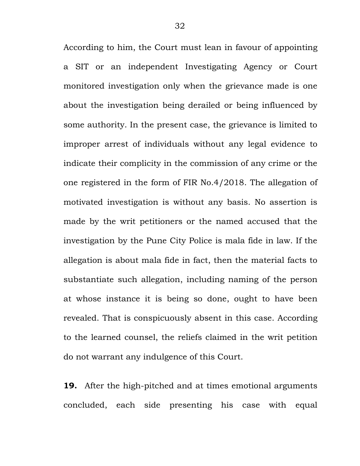According to him, the Court must lean in favour of appointing a SIT or an independent Investigating Agency or Court monitored investigation only when the grievance made is one about the investigation being derailed or being influenced by some authority. In the present case, the grievance is limited to improper arrest of individuals without any legal evidence to indicate their complicity in the commission of any crime or the one registered in the form of FIR No.4/2018. The allegation of motivated investigation is without any basis. No assertion is made by the writ petitioners or the named accused that the investigation by the Pune City Police is mala fide in law. If the allegation is about mala fide in fact, then the material facts to substantiate such allegation, including naming of the person at whose instance it is being so done, ought to have been revealed. That is conspicuously absent in this case. According to the learned counsel, the reliefs claimed in the writ petition do not warrant any indulgence of this Court.

**19.** After the high-pitched and at times emotional arguments concluded, each side presenting his case with equal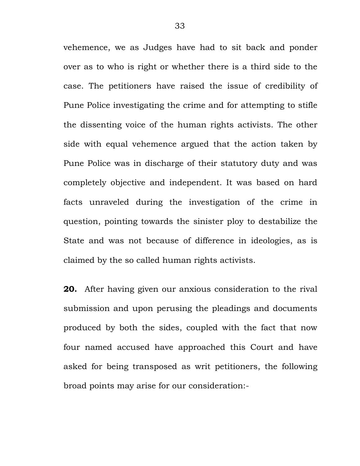vehemence, we as Judges have had to sit back and ponder over as to who is right or whether there is a third side to the case. The petitioners have raised the issue of credibility of Pune Police investigating the crime and for attempting to stifle the dissenting voice of the human rights activists. The other side with equal vehemence argued that the action taken by Pune Police was in discharge of their statutory duty and was completely objective and independent. It was based on hard facts unraveled during the investigation of the crime in question, pointing towards the sinister ploy to destabilize the State and was not because of difference in ideologies, as is claimed by the so called human rights activists.

**20.** After having given our anxious consideration to the rival submission and upon perusing the pleadings and documents produced by both the sides, coupled with the fact that now four named accused have approached this Court and have asked for being transposed as writ petitioners, the following broad points may arise for our consideration:-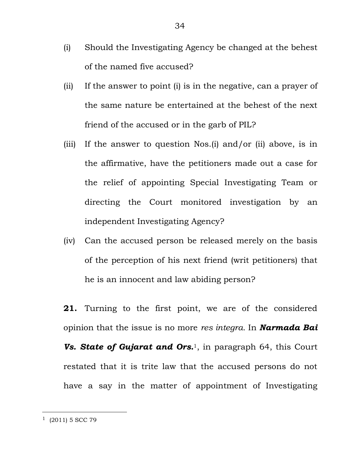- (i) Should the Investigating Agency be changed at the behest of the named five accused?
- (ii) If the answer to point (i) is in the negative, can a prayer of the same nature be entertained at the behest of the next friend of the accused or in the garb of PIL?
- (iii) If the answer to question Nos.(i) and/or (ii) above, is in the affirmative, have the petitioners made out a case for the relief of appointing Special Investigating Team or directing the Court monitored investigation by an independent Investigating Agency?
- (iv) Can the accused person be released merely on the basis of the perception of his next friend (writ petitioners) that he is an innocent and law abiding person?
- **21.** Turning to the first point, we are of the considered opinion that the issue is no more *res integra.* In *Narmada Bai*  **Vs. State of Gujarat and Ors.**<sup>1</sup>, in paragraph 64, this Court restated that it is trite law that the accused persons do not have a say in the matter of appointment of Investigating

 $1$  (2011) 5 SCC 79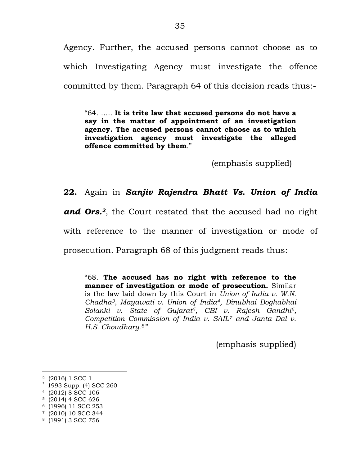Agency. Further, the accused persons cannot choose as to which Investigating Agency must investigate the offence committed by them. Paragraph 64 of this decision reads thus:-

"64. ….. **It is trite law that accused persons do not have a say in the matter of appointment of an investigation agency. The accused persons cannot choose as to which investigation agency must investigate the alleged offence committed by them**."

(emphasis supplied)

## **22.** Again in *Sanjiv Rajendra Bhatt Vs. Union of India*

*and Ors.2,* the Court restated that the accused had no right with reference to the manner of investigation or mode of

prosecution. Paragraph 68 of this judgment reads thus:

"68. **The accused has no right with reference to the manner of investigation or mode of prosecution.** Similar is the law laid down by this Court in *Union of India v. W.N. Chadha3, Mayawati v. Union of India4, Dinubhai Boghabhai Solanki v. State of Gujarat5, CBI v. Rajesh Gandhi6, Competition Commission of India v. SAIL<sup>7</sup> and Janta Dal v. H.S. Choudhary.8"*

(emphasis supplied)

<sup>2</sup> (2016) 1 SCC 1

<sup>&</sup>lt;sup>3</sup> 1993 Supp. (4) SCC 260

<sup>4</sup> (2012) 8 SCC 106

<sup>5</sup> (2014) 4 SCC 626

<sup>6</sup> (1996) 11 SCC 253

<sup>7</sup> (2010) 10 SCC 344

<sup>8</sup> (1991) 3 SCC 756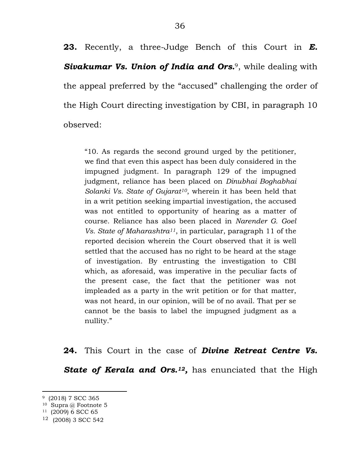**23.** Recently, a three-Judge Bench of this Court in *E. Sivakumar Vs. Union of India and Ors.*9, while dealing with the appeal preferred by the "accused" challenging the order of the High Court directing investigation by CBI, in paragraph 10 observed:

"10. As regards the second ground urged by the petitioner, we find that even this aspect has been duly considered in the impugned judgment. In paragraph 129 of the impugned judgment, reliance has been placed on *Dinubhai Boghabhai Solanki Vs. State of Gujarat10*, wherein it has been held that in a writ petition seeking impartial investigation, the accused was not entitled to opportunity of hearing as a matter of course. Reliance has also been placed in *Narender G. Goel Vs. State of Maharashtra11*, in particular, paragraph 11 of the reported decision wherein the Court observed that it is well settled that the accused has no right to be heard at the stage of investigation. By entrusting the investigation to CBI which, as aforesaid, was imperative in the peculiar facts of the present case, the fact that the petitioner was not impleaded as a party in the writ petition or for that matter, was not heard, in our opinion, will be of no avail. That per se cannot be the basis to label the impugned judgment as a nullity."

**24.** This Court in the case of *Divine Retreat Centre Vs. State of Kerala and Ors.<sup>12</sup> ,* has enunciated that the High

<sup>9</sup> (2018) 7 SCC 365

 $10$  Supra @ Footnote 5

<sup>11</sup> (2009) 6 SCC 65

<sup>12</sup> (2008) 3 SCC 542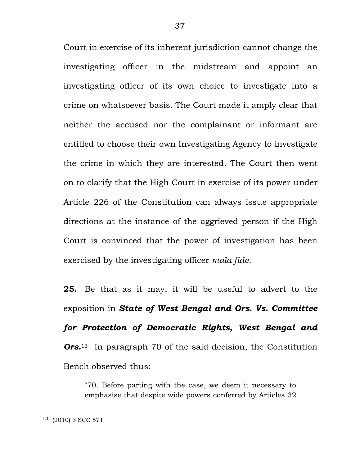Court in exercise of its inherent jurisdiction cannot change the investigating officer in the midstream and appoint an investigating officer of its own choice to investigate into a crime on whatsoever basis. The Court made it amply clear that neither the accused nor the complainant or informant are entitled to choose their own Investigating Agency to investigate the crime in which they are interested. The Court then went on to clarify that the High Court in exercise of its power under Article 226 of the Constitution can always issue appropriate directions at the instance of the aggrieved person if the High Court is convinced that the power of investigation has been exercised by the investigating officer *mala fide*.

**25.** Be that as it may, it will be useful to advert to the exposition in *State of West Bengal and Ors. Vs. Committee for Protection of Democratic Rights, West Bengal and Ors.*13 In paragraph 70 of the said decision, the Constitution Bench observed thus:

"70. Before parting with the case, we deem it necessary to emphasise that despite wide powers conferred by Articles 32

<sup>13</sup> (2010) 3 SCC 571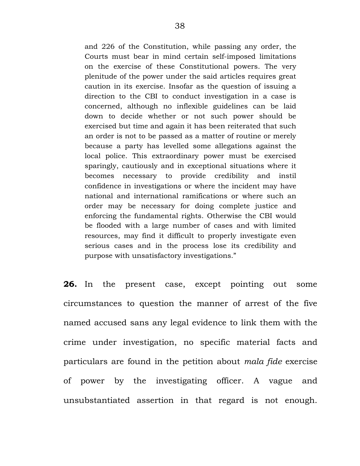and 226 of the Constitution, while passing any order, the Courts must bear in mind certain self-imposed limitations on the exercise of these Constitutional powers. The very plenitude of the power under the said articles requires great caution in its exercise. Insofar as the question of issuing a direction to the CBI to conduct investigation in a case is concerned, although no inflexible guidelines can be laid down to decide whether or not such power should be exercised but time and again it has been reiterated that such an order is not to be passed as a matter of routine or merely because a party has levelled some allegations against the local police. This extraordinary power must be exercised sparingly, cautiously and in exceptional situations where it becomes necessary to provide credibility and instil confidence in investigations or where the incident may have national and international ramifications or where such an order may be necessary for doing complete justice and enforcing the fundamental rights. Otherwise the CBI would be flooded with a large number of cases and with limited resources, may find it difficult to properly investigate even serious cases and in the process lose its credibility and purpose with unsatisfactory investigations."

**26.** In the present case, except pointing out some circumstances to question the manner of arrest of the five named accused sans any legal evidence to link them with the crime under investigation, no specific material facts and particulars are found in the petition about *mala fide* exercise of power by the investigating officer. A vague and unsubstantiated assertion in that regard is not enough.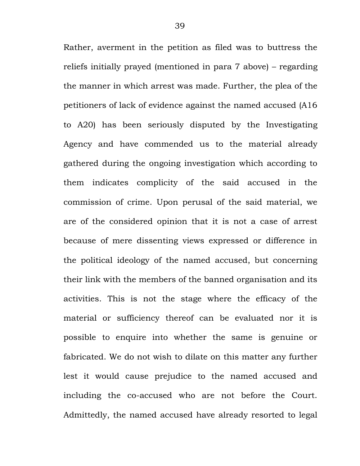Rather, averment in the petition as filed was to buttress the reliefs initially prayed (mentioned in para 7 above) – regarding the manner in which arrest was made. Further, the plea of the petitioners of lack of evidence against the named accused (A16 to A20) has been seriously disputed by the Investigating Agency and have commended us to the material already gathered during the ongoing investigation which according to them indicates complicity of the said accused in the commission of crime. Upon perusal of the said material, we are of the considered opinion that it is not a case of arrest because of mere dissenting views expressed or difference in the political ideology of the named accused, but concerning their link with the members of the banned organisation and its activities. This is not the stage where the efficacy of the material or sufficiency thereof can be evaluated nor it is possible to enquire into whether the same is genuine or fabricated. We do not wish to dilate on this matter any further lest it would cause prejudice to the named accused and including the co-accused who are not before the Court. Admittedly, the named accused have already resorted to legal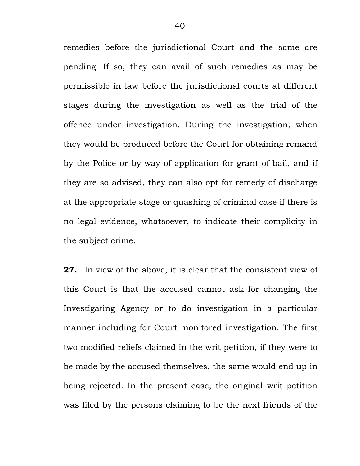remedies before the jurisdictional Court and the same are pending. If so, they can avail of such remedies as may be permissible in law before the jurisdictional courts at different stages during the investigation as well as the trial of the offence under investigation. During the investigation, when they would be produced before the Court for obtaining remand by the Police or by way of application for grant of bail, and if they are so advised, they can also opt for remedy of discharge at the appropriate stage or quashing of criminal case if there is no legal evidence, whatsoever, to indicate their complicity in the subject crime.

**27.** In view of the above, it is clear that the consistent view of this Court is that the accused cannot ask for changing the Investigating Agency or to do investigation in a particular manner including for Court monitored investigation. The first two modified reliefs claimed in the writ petition, if they were to be made by the accused themselves, the same would end up in being rejected. In the present case, the original writ petition was filed by the persons claiming to be the next friends of the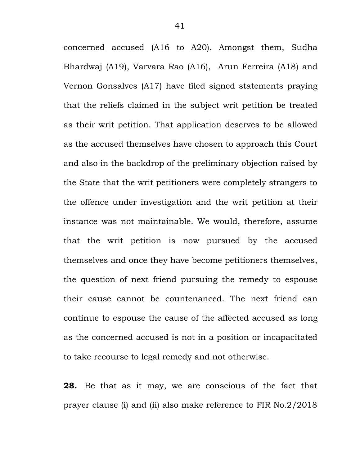concerned accused (A16 to A20). Amongst them, Sudha Bhardwaj (A19), Varvara Rao (A16), Arun Ferreira (A18) and Vernon Gonsalves (A17) have filed signed statements praying that the reliefs claimed in the subject writ petition be treated as their writ petition. That application deserves to be allowed as the accused themselves have chosen to approach this Court and also in the backdrop of the preliminary objection raised by the State that the writ petitioners were completely strangers to the offence under investigation and the writ petition at their instance was not maintainable. We would, therefore, assume that the writ petition is now pursued by the accused themselves and once they have become petitioners themselves, the question of next friend pursuing the remedy to espouse their cause cannot be countenanced. The next friend can continue to espouse the cause of the affected accused as long as the concerned accused is not in a position or incapacitated to take recourse to legal remedy and not otherwise.

**28.** Be that as it may, we are conscious of the fact that prayer clause (i) and (ii) also make reference to FIR No.2/2018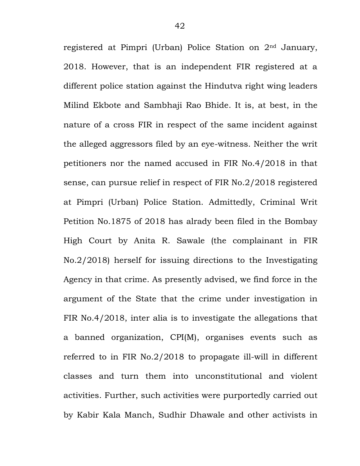registered at Pimpri (Urban) Police Station on 2nd January, 2018. However, that is an independent FIR registered at a different police station against the Hindutva right wing leaders Milind Ekbote and Sambhaji Rao Bhide. It is, at best, in the nature of a cross FIR in respect of the same incident against the alleged aggressors filed by an eye-witness. Neither the writ petitioners nor the named accused in FIR No.4/2018 in that sense, can pursue relief in respect of FIR No.2/2018 registered at Pimpri (Urban) Police Station. Admittedly, Criminal Writ Petition No.1875 of 2018 has alrady been filed in the Bombay High Court by Anita R. Sawale (the complainant in FIR No.2/2018) herself for issuing directions to the Investigating Agency in that crime. As presently advised, we find force in the argument of the State that the crime under investigation in FIR No.4/2018, inter alia is to investigate the allegations that a banned organization, CPI(M), organises events such as referred to in FIR No.2/2018 to propagate ill-will in different classes and turn them into unconstitutional and violent activities. Further, such activities were purportedly carried out by Kabir Kala Manch, Sudhir Dhawale and other activists in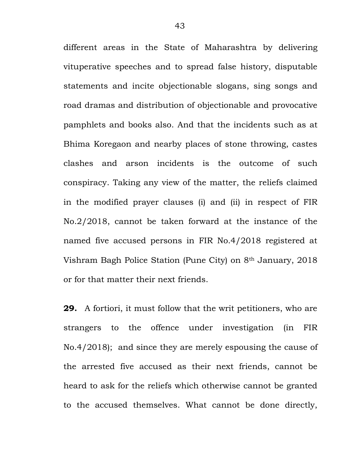different areas in the State of Maharashtra by delivering vituperative speeches and to spread false history, disputable statements and incite objectionable slogans, sing songs and road dramas and distribution of objectionable and provocative pamphlets and books also. And that the incidents such as at Bhima Koregaon and nearby places of stone throwing, castes clashes and arson incidents is the outcome of such conspiracy. Taking any view of the matter, the reliefs claimed in the modified prayer clauses (i) and (ii) in respect of FIR No.2/2018, cannot be taken forward at the instance of the named five accused persons in FIR No.4/2018 registered at Vishram Bagh Police Station (Pune City) on 8th January, 2018 or for that matter their next friends.

**29.** A fortiori, it must follow that the writ petitioners, who are strangers to the offence under investigation (in FIR No.4/2018); and since they are merely espousing the cause of the arrested five accused as their next friends, cannot be heard to ask for the reliefs which otherwise cannot be granted to the accused themselves. What cannot be done directly,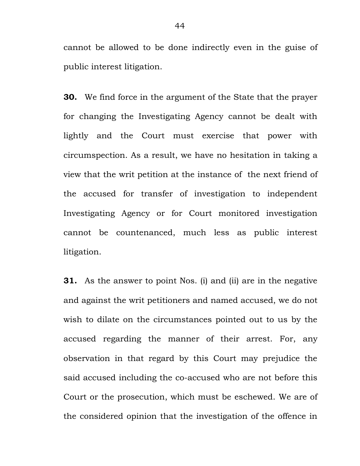cannot be allowed to be done indirectly even in the guise of public interest litigation.

**30.** We find force in the argument of the State that the prayer for changing the Investigating Agency cannot be dealt with lightly and the Court must exercise that power with circumspection. As a result, we have no hesitation in taking a view that the writ petition at the instance of the next friend of the accused for transfer of investigation to independent Investigating Agency or for Court monitored investigation cannot be countenanced, much less as public interest litigation.

**31.** As the answer to point Nos. (i) and (ii) are in the negative and against the writ petitioners and named accused, we do not wish to dilate on the circumstances pointed out to us by the accused regarding the manner of their arrest. For, any observation in that regard by this Court may prejudice the said accused including the co-accused who are not before this Court or the prosecution, which must be eschewed. We are of the considered opinion that the investigation of the offence in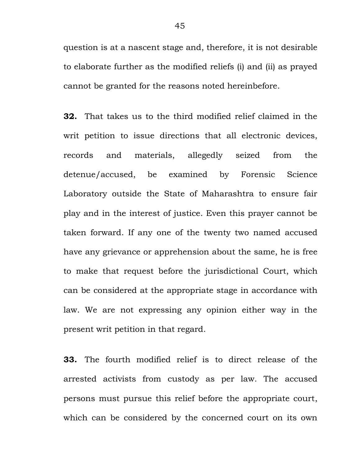question is at a nascent stage and, therefore, it is not desirable to elaborate further as the modified reliefs (i) and (ii) as prayed cannot be granted for the reasons noted hereinbefore.

**32.** That takes us to the third modified relief claimed in the writ petition to issue directions that all electronic devices, records and materials, allegedly seized from the detenue/accused, be examined by Forensic Science Laboratory outside the State of Maharashtra to ensure fair play and in the interest of justice. Even this prayer cannot be taken forward. If any one of the twenty two named accused have any grievance or apprehension about the same, he is free to make that request before the jurisdictional Court, which can be considered at the appropriate stage in accordance with law. We are not expressing any opinion either way in the present writ petition in that regard.

**33.** The fourth modified relief is to direct release of the arrested activists from custody as per law. The accused persons must pursue this relief before the appropriate court, which can be considered by the concerned court on its own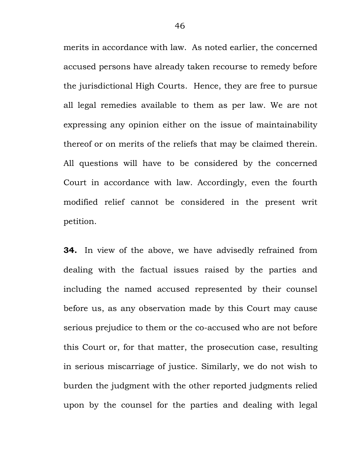merits in accordance with law. As noted earlier, the concerned accused persons have already taken recourse to remedy before the jurisdictional High Courts. Hence, they are free to pursue all legal remedies available to them as per law. We are not expressing any opinion either on the issue of maintainability thereof or on merits of the reliefs that may be claimed therein. All questions will have to be considered by the concerned Court in accordance with law. Accordingly, even the fourth modified relief cannot be considered in the present writ petition.

**34.** In view of the above, we have advisedly refrained from dealing with the factual issues raised by the parties and including the named accused represented by their counsel before us, as any observation made by this Court may cause serious prejudice to them or the co-accused who are not before this Court or, for that matter, the prosecution case, resulting in serious miscarriage of justice. Similarly, we do not wish to burden the judgment with the other reported judgments relied upon by the counsel for the parties and dealing with legal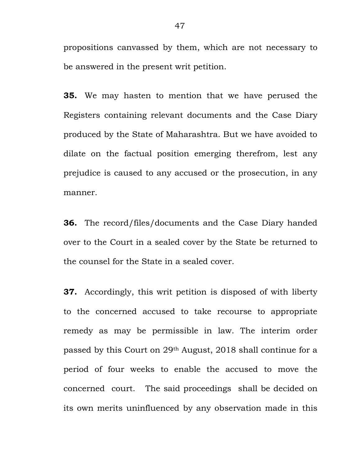propositions canvassed by them, which are not necessary to be answered in the present writ petition.

**35.** We may hasten to mention that we have perused the Registers containing relevant documents and the Case Diary produced by the State of Maharashtra. But we have avoided to dilate on the factual position emerging therefrom, lest any prejudice is caused to any accused or the prosecution, in any manner.

**36.** The record/files/documents and the Case Diary handed over to the Court in a sealed cover by the State be returned to the counsel for the State in a sealed cover.

**37.** Accordingly, this writ petition is disposed of with liberty to the concerned accused to take recourse to appropriate remedy as may be permissible in law. The interim order passed by this Court on 29th August, 2018 shall continue for a period of four weeks to enable the accused to move the concerned court. The said proceedings shall be decided on its own merits uninfluenced by any observation made in this